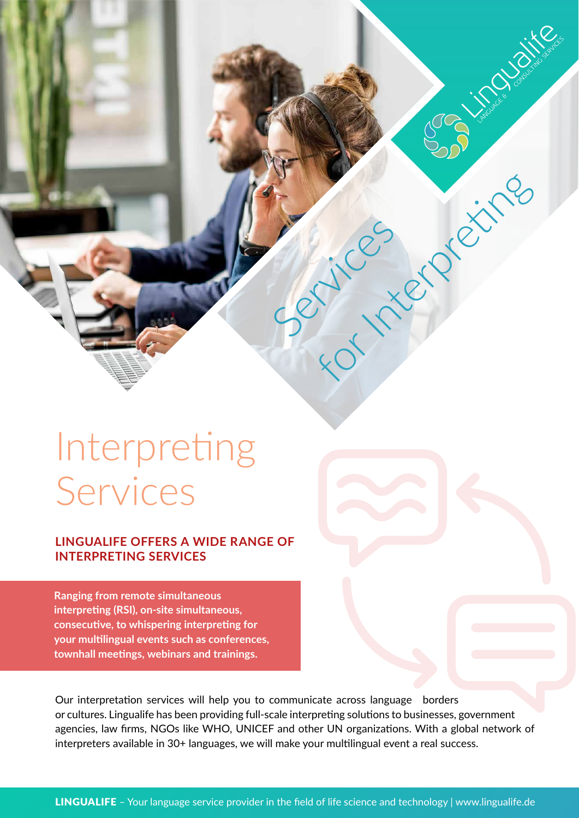# Interpreting Services

#### **LINGUALIFE OFFERS A WIDE RANGE OF INTERPRETING SERVICES**

**Ranging from remote simultaneous interpreting (RSI), on-site simultaneous, consecutive, to whispering interpreting for your multilingual events such as conferences, townhall meetings, webinars and trainings.**

Our interpretation services will help you to communicate across language borders or cultures. Lingualife has been providing full-scale interpreting solutions to businesses, government agencies, law firms, NGOs like WHO, UNICEF and other UN organizations. With a global network of interpreters available in 30+ languages, we will make your multilingual event a real success.

Services

For Interpreting

JOG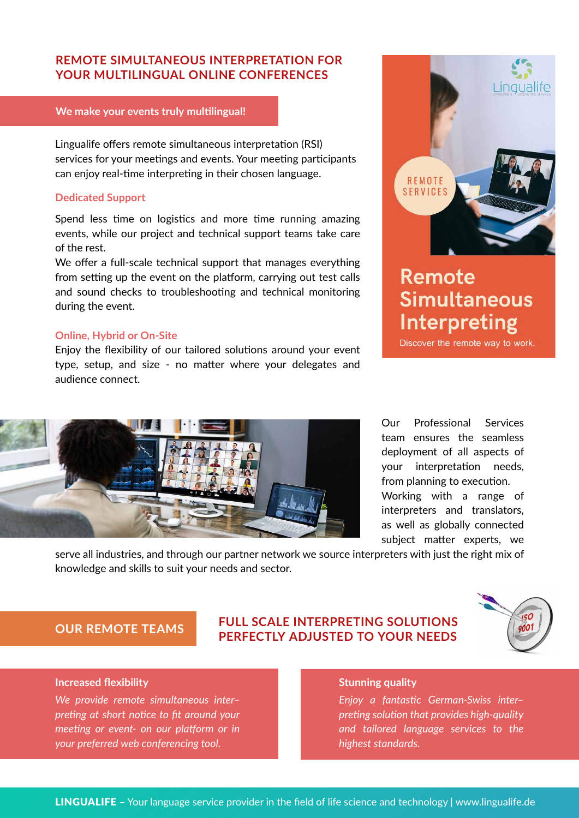#### **REMOTE SIMULTANEOUS INTERPRETATION FOR YOUR MULTILINGUAL ONLINE CONFERENCES**

#### **We make your events truly multilingual!**

Lingualife offers remote simultaneous interpretation (RSI) services for your meetings and events. Your meeting participants can enjoy real-time interpreting in their chosen language.

#### **Dedicated Support**

Spend less time on logistics and more time running amazing events, while our project and technical support teams take care of the rest.

We offer a full-scale technical support that manages everything from setting up the event on the platform, carrying out test calls and sound checks to troubleshooting and technical monitoring during the event.

#### **Online, Hybrid or On-Site**

Enjoy the flexibility of our tailored solutions around your event type, setup, and size - no matter where your delegates and audience connect.



# **Remote Simultaneous** Interpreting

Discover the remote way to work.



Our Professional Services team ensures the seamless deployment of all aspects of your interpretation needs, from planning to execution. Working with a range of interpreters and translators, as well as globally connected subject matter experts, we

serve all industries, and through our partner network we source interpreters with just the right mix of knowledge and skills to suit your needs and sector.

### **OUR REMOTE TEAMS FULL SCALE INTERPRETING SOLUTIONS PERFECTLY ADJUSTED TO YOUR NEEDS**



#### **Increased flexibility**

*We provide remote simultaneous inter– preting at short notice to fit around your meeting or event- on our platform or in your preferred web conferencing tool.*

#### **Stunning quality**

*Enjoy a fantastic German-Swiss inter– preting solution that provides high-quality and tailored language services to the highest standards.*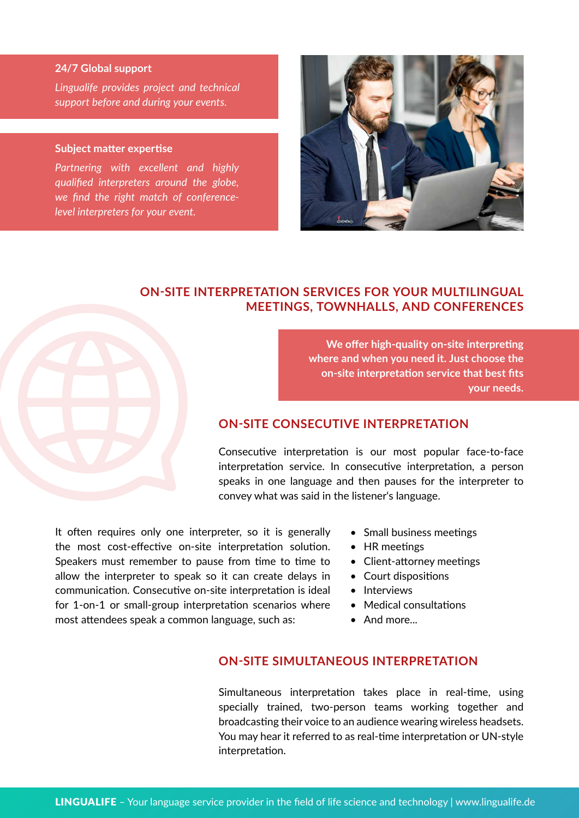#### **24/7 Global support**

*Lingualife provides project and technical support before and during your events.*

#### **Subject matter expertise**

*Partnering with excellent and highly qualified interpreters around the globe, we find the right match of conferencelevel interpreters for your event.*



#### **ON-SITE INTERPRETATION SERVICES FOR YOUR MULTILINGUAL MEETINGS, TOWNHALLS, AND CONFERENCES**

**We offer high-quality on-site interpreting where and when you need it. Just choose the on-site interpretation service that best fits your needs.**

#### **ON-SITE CONSECUTIVE INTERPRETATION**

Consecutive interpretation is our most popular face-to-face interpretation service. In consecutive interpretation, a person speaks in one language and then pauses for the interpreter to convey what was said in the listener's language.

It often requires only one interpreter, so it is generally the most cost-effective on-site interpretation solution. Speakers must remember to pause from time to time to allow the interpreter to speak so it can create delays in communication. Consecutive on-site interpretation is ideal for 1-on-1 or small-group interpretation scenarios where most attendees speak a common language, such as:

- Small business meetings
- HR meetings
- Client-attorney meetings
- Court dispositions
- Interviews
- Medical consultations
- And more...

#### **ON-SITE SIMULTANEOUS INTERPRETATION**

Simultaneous interpretation takes place in real-time, using specially trained, two-person teams working together and broadcasting their voice to an audience wearing wireless headsets. You may hear it referred to as real-time interpretation or UN-style interpretation.